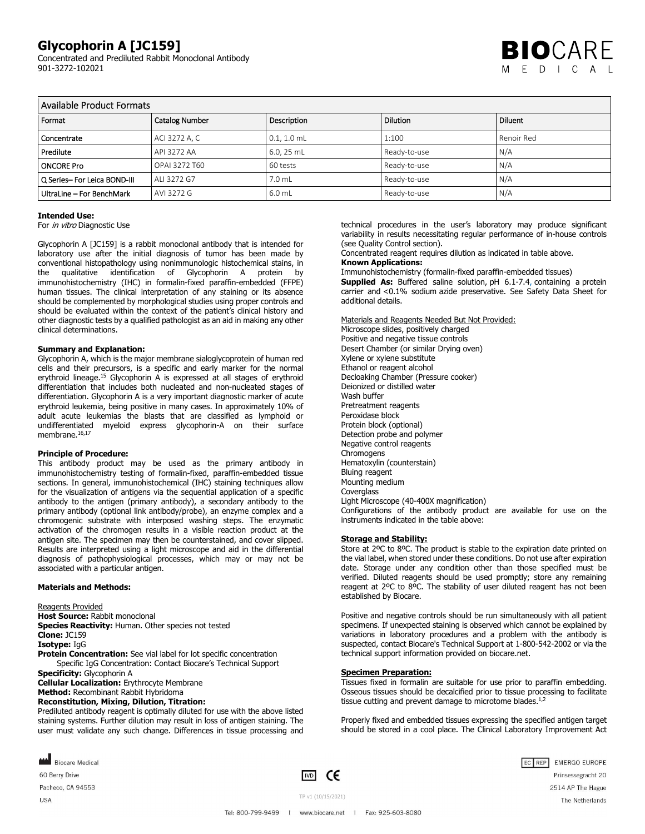Concentrated and Prediluted Rabbit Monoclonal Antibody 901-3272-102021



| Available Product Formats    |                       |               |                 |                |
|------------------------------|-----------------------|---------------|-----------------|----------------|
| Format                       | <b>Catalog Number</b> | Description   | <b>Dilution</b> | <b>Diluent</b> |
| Concentrate                  | ACI 3272 A, C         | $0.1, 1.0$ mL | 1:100           | Renoir Red     |
| Predilute                    | API 3272 AA           | 6.0, 25 mL    | Ready-to-use    | N/A            |
| <b>ONCORE Pro</b>            | OPAI 3272 T60         | 60 tests      | Ready-to-use    | N/A            |
| Q Series- For Leica BOND-III | ALI 3272 G7           | 7.0 mL        | Ready-to-use    | N/A            |
| UltraLine - For BenchMark    | AVI 3272 G            | 6.0 mL        | Ready-to-use    | N/A            |

# **Intended Use:**

For *in vitro* Diagnostic Use

Glycophorin A [JC159] is a rabbit monoclonal antibody that is intended for laboratory use after the initial diagnosis of tumor has been made by conventional histopathology using nonimmunologic histochemical stains, in the qualitative identification of Glycophorin A protein by immunohistochemistry (IHC) in formalin-fixed paraffin-embedded (FFPE) human tissues. The clinical interpretation of any staining or its absence should be complemented by morphological studies using proper controls and should be evaluated within the context of the patient's clinical history and other diagnostic tests by a qualified pathologist as an aid in making any other clinical determinations.

#### **Summary and Explanation:**

Glycophorin A, which is the major membrane sialoglycoprotein of human red cells and their precursors, is a specific and early marker for the normal erythroid lineage.<sup>15</sup> Glycophorin A is expressed at all stages of erythroid differentiation that includes both nucleated and non-nucleated stages of differentiation. Glycophorin A is a very important diagnostic marker of acute erythroid leukemia, being positive in many cases. In approximately 10% of adult acute leukemias the blasts that are classified as lymphoid or undifferentiated myeloid express glycophorin-A on their surface membrane.<sup>16,17</sup>

#### **Principle of Procedure:**

This antibody product may be used as the primary antibody in immunohistochemistry testing of formalin-fixed, paraffin-embedded tissue sections. In general, immunohistochemical (IHC) staining techniques allow for the visualization of antigens via the sequential application of a specific antibody to the antigen (primary antibody), a secondary antibody to the primary antibody (optional link antibody/probe), an enzyme complex and a chromogenic substrate with interposed washing steps. The enzymatic activation of the chromogen results in a visible reaction product at the antigen site. The specimen may then be counterstained, and cover slipped. Results are interpreted using a light microscope and aid in the differential diagnosis of pathophysiological processes, which may or may not be associated with a particular antigen.

# **Materials and Methods:**

Reagents Provided **Host Source:** Rabbit monoclonal **Species Reactivity:** Human. Other species not tested **Clone:** JC159 **Isotype:** IgG **Protein Concentration:** See vial label for lot specific concentration Specific IgG Concentration: Contact Biocare's Technical Support **Specificity: Glycophorin A Cellular Localization:** Erythrocyte Membrane **Method:** Recombinant Rabbit Hybridoma **Reconstitution, Mixing, Dilution, Titration:** Prediluted antibody reagent is optimally diluted for use with the above listed staining systems. Further dilution may result in loss of antigen staining. The

user must validate any such change. Differences in tissue processing and

technical procedures in the user's laboratory may produce significant variability in results necessitating regular performance of in-house controls (see Quality Control section).

Concentrated reagent requires dilution as indicated in table above.

# **Known Applications:**

Immunohistochemistry (formalin-fixed paraffin-embedded tissues)

**Supplied As:** Buffered saline solution, pH 6.1-7.4, containing a protein carrier and <0.1% sodium azide preservative. See Safety Data Sheet for additional details.

Materials and Reagents Needed But Not Provided: Microscope slides, positively charged

Positive and negative tissue controls Desert Chamber (or similar Drying oven) Xylene or xylene substitute Ethanol or reagent alcohol Decloaking Chamber (Pressure cooker) Deionized or distilled water Wash buffer Pretreatment reagents Peroxidase block Protein block (optional) Detection probe and polymer Negative control reagents **Chromogens** Hematoxylin (counterstain) Bluing reagent Mounting medium **Coverglass** Light Microscope (40-400X magnification) Configurations of the antibody product are available for use on the instruments indicated in the table above:

#### **Storage and Stability:**

Store at 2ºC to 8ºC. The product is stable to the expiration date printed on the vial label, when stored under these conditions. Do not use after expiration date. Storage under any condition other than those specified must be verified. Diluted reagents should be used promptly; store any remaining reagent at 2ºC to 8ºC. The stability of user diluted reagent has not been established by Biocare.

Positive and negative controls should be run simultaneously with all patient specimens. If unexpected staining is observed which cannot be explained by variations in laboratory procedures and a problem with the antibody is suspected, contact Biocare's Technical Support at 1-800-542-2002 or via the technical support information provided on biocare.net.

#### **Specimen Preparation:**

Tissues fixed in formalin are suitable for use prior to paraffin embedding. Osseous tissues should be decalcified prior to tissue processing to facilitate tissue cutting and prevent damage to microtome blades. $1,2$ 

Properly fixed and embedded tissues expressing the specified antigen target should be stored in a cool place. The Clinical Laboratory Improvement Act

**MAN** Biocare Medical 60 Berry Drive

Pacheco, CA 94553

**USA** 

 $\boxed{1 \times D}$  CE

EC REP EMERGO EUROPE Prinsessegracht 20 2514 AP The Hague The Netherlands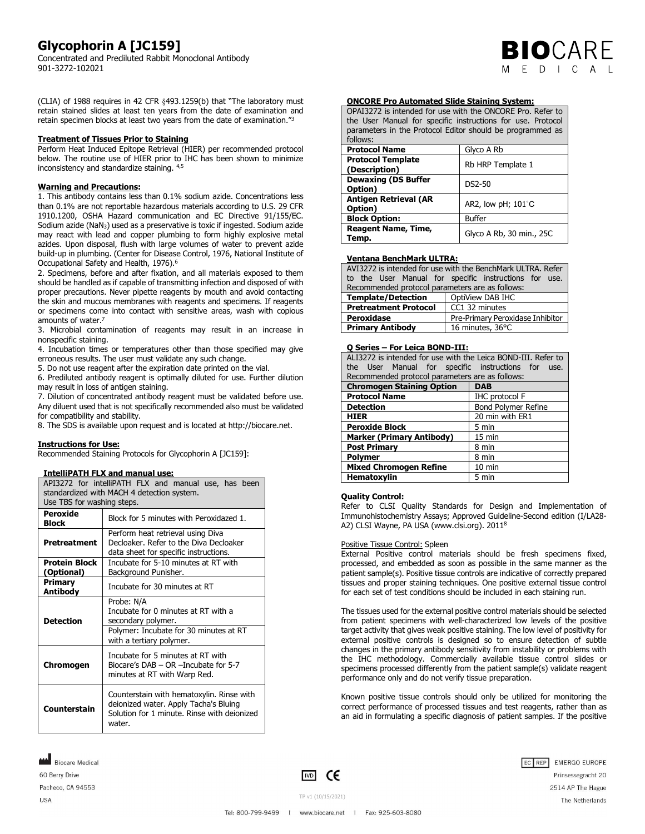Concentrated and Prediluted Rabbit Monoclonal Antibody 901-3272-102021

**BIO**CARE  $F D L C A$ 

(CLIA) of 1988 requires in 42 CFR §493.1259(b) that "The laboratory must retain stained slides at least ten years from the date of examination and retain specimen blocks at least two years from the date of examination."<sup>3</sup>

# **Treatment of Tissues Prior to Staining**

Perform Heat Induced Epitope Retrieval (HIER) per recommended protocol below. The routine use of HIER prior to IHC has been shown to minimize inconsistency and standardize staining. 4,5

# **Warning and Precautions:**

1. This antibody contains less than 0.1% sodium azide. Concentrations less than 0.1% are not reportable hazardous materials according to U.S. 29 CFR 1910.1200, OSHA Hazard communication and EC Directive 91/155/EC. Sodium azide (NaN3) used as a preservative is toxic if ingested. Sodium azide may react with lead and copper plumbing to form highly explosive metal azides. Upon disposal, flush with large volumes of water to prevent azide build-up in plumbing. (Center for Disease Control, 1976, National Institute of Occupational Safety and Health, 1976).<sup>6</sup>

2. Specimens, before and after fixation, and all materials exposed to them should be handled as if capable of transmitting infection and disposed of with proper precautions. Never pipette reagents by mouth and avoid contacting the skin and mucous membranes with reagents and specimens. If reagents or specimens come into contact with sensitive areas, wash with copious amounts of water.<sup>7</sup>

3. Microbial contamination of reagents may result in an increase in nonspecific staining.

4. Incubation times or temperatures other than those specified may give erroneous results. The user must validate any such change.

5. Do not use reagent after the expiration date printed on the vial.

6. Prediluted antibody reagent is optimally diluted for use. Further dilution may result in loss of antigen staining.

7. Dilution of concentrated antibody reagent must be validated before use. Any diluent used that is not specifically recommended also must be validated for compatibility and stability.

8. The SDS is available upon request and is located at http://biocare.net.

# **Instructions for Use:**

Recommended Staining Protocols for Glycophorin A [JC159]:

# **IntelliPATH FLX and manual use:**

| API3272 for intelliPATH FLX and manual use, has been<br>standardized with MACH 4 detection system. |                                                                                                                                               |  |
|----------------------------------------------------------------------------------------------------|-----------------------------------------------------------------------------------------------------------------------------------------------|--|
| Use TBS for washing steps.                                                                         |                                                                                                                                               |  |
| Peroxide<br><b>Block</b>                                                                           | Block for 5 minutes with Peroxidazed 1.                                                                                                       |  |
| <b>Pretreatment</b>                                                                                | Perform heat retrieval using Diva<br>Decloaker, Refer to the Diva Decloaker<br>data sheet for specific instructions.                          |  |
| <b>Protein Block</b><br>(Optional)                                                                 | Incubate for 5-10 minutes at RT with<br>Background Punisher.                                                                                  |  |
| Primary<br>Antibody                                                                                | Incubate for 30 minutes at RT                                                                                                                 |  |
| <b>Detection</b>                                                                                   | Probe: N/A<br>Incubate for 0 minutes at RT with a<br>secondary polymer.<br>Polymer: Incubate for 30 minutes at RT<br>with a tertiary polymer. |  |
| Chromogen                                                                                          | Incubate for 5 minutes at RT with<br>Biocare's $DAB - OR$ -Incubate for 5-7<br>minutes at RT with Warp Red.                                   |  |
| Counterstain                                                                                       | Counterstain with hematoxylin. Rinse with<br>deionized water. Apply Tacha's Bluing<br>Solution for 1 minute. Rinse with deionized<br>water.   |  |

OPAI3272 is intended for use with the ONCORE Pro. Refer to the User Manual for specific instructions for use. Protocol parameters in the Protocol Editor should be programmed as follows:

| <u>iuiuvvj.</u>                           |                                |  |
|-------------------------------------------|--------------------------------|--|
| <b>Protocol Name</b>                      | Glyco A Rb                     |  |
| <b>Protocol Template</b><br>(Description) | Rb HRP Template 1              |  |
| <b>Dewaxing (DS Buffer</b><br>Option)     | DS2-50                         |  |
| <b>Antigen Retrieval (AR</b><br>Option)   | AR2, low $pH$ ; $101^{\circ}C$ |  |
| <b>Block Option:</b>                      | <b>Buffer</b>                  |  |
| <b>Reagent Name, Time,</b><br>Temp.       | Glyco A Rb, 30 min., 25C       |  |

# **Ventana BenchMark ULTRA:**

| AVI3272 is intended for use with the BenchMark ULTRA. Refer |                                                       |  |  |
|-------------------------------------------------------------|-------------------------------------------------------|--|--|
|                                                             | to the User Manual for specific instructions for use. |  |  |
| Recommended protocol parameters are as follows:             |                                                       |  |  |
| <b>Template/Detection</b><br>  OptiView DAB IHC             |                                                       |  |  |
| CC1 32 minutes<br><b>Pretreatment Protocol</b>              |                                                       |  |  |
| Peroxidase                                                  | Pre-Primary Peroxidase Inhibitor                      |  |  |
| <b>Primary Antibody</b><br>16 minutes, 36°C                 |                                                       |  |  |

# **Q Series – For Leica BOND-III:**

| ALI3272 is intended for use with the Leica BOND-III. Refer to<br>the User Manual for specific instructions for use. |                       |  |  |
|---------------------------------------------------------------------------------------------------------------------|-----------------------|--|--|
| Recommended protocol parameters are as follows:                                                                     |                       |  |  |
| <b>Chromogen Staining Option</b><br><b>DAB</b>                                                                      |                       |  |  |
| <b>Protocol Name</b>                                                                                                | <b>IHC protocol F</b> |  |  |
| <b>Detection</b>                                                                                                    | Bond Polymer Refine   |  |  |
| <b>HIER</b>                                                                                                         | 20 min with ER1       |  |  |
| <b>Peroxide Block</b>                                                                                               | 5 min                 |  |  |
| <b>Marker (Primary Antibody)</b>                                                                                    | 15 min                |  |  |
| <b>Post Primary</b>                                                                                                 | 8 min                 |  |  |
| <b>Polymer</b>                                                                                                      | 8 min                 |  |  |
| <b>Mixed Chromogen Refine</b>                                                                                       | $10$ min              |  |  |
| <b>Hematoxylin</b>                                                                                                  | 5 min                 |  |  |

# **Quality Control:**

Refer to CLSI Quality Standards for Design and Implementation of Immunohistochemistry Assays; Approved Guideline-Second edition (I/LA28- A2) CLSI Wayne, PA USA (www.clsi.org). 2011<sup>8</sup>

#### Positive Tissue Control: Spleen

External Positive control materials should be fresh specimens fixed, processed, and embedded as soon as possible in the same manner as the patient sample(s). Positive tissue controls are indicative of correctly prepared tissues and proper staining techniques. One positive external tissue control for each set of test conditions should be included in each staining run.

The tissues used for the external positive control materials should be selected from patient specimens with well-characterized low levels of the positive target activity that gives weak positive staining. The low level of positivity for external positive controls is designed so to ensure detection of subtle changes in the primary antibody sensitivity from instability or problems with the IHC methodology. Commercially available tissue control slides or specimens processed differently from the patient sample(s) validate reagent performance only and do not verify tissue preparation.

Known positive tissue controls should only be utilized for monitoring the correct performance of processed tissues and test reagents, rather than as an aid in formulating a specific diagnosis of patient samples. If the positive

Biocare Medical 60 Berry Drive Pacheco, CA 94553 **USA** 

 $\boxed{VD}$  CE

EC REP EMERGO EUROPE Prinsessegracht 20



The Netherlands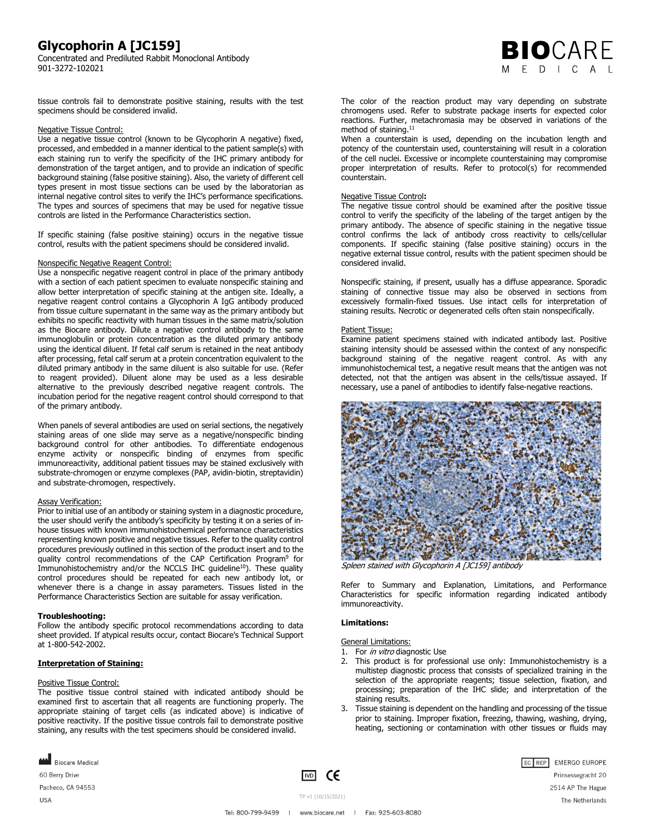Concentrated and Prediluted Rabbit Monoclonal Antibody 901-3272-102021



tissue controls fail to demonstrate positive staining, results with the test specimens should be considered invalid.

# Negative Tissue Control:

Use a negative tissue control (known to be Glycophorin A negative) fixed, processed, and embedded in a manner identical to the patient sample(s) with each staining run to verify the specificity of the IHC primary antibody for demonstration of the target antigen, and to provide an indication of specific background staining (false positive staining). Also, the variety of different cell types present in most tissue sections can be used by the laboratorian as internal negative control sites to verify the IHC's performance specifications. The types and sources of specimens that may be used for negative tissue controls are listed in the Performance Characteristics section.

If specific staining (false positive staining) occurs in the negative tissue control, results with the patient specimens should be considered invalid.

#### Nonspecific Negative Reagent Control:

Use a nonspecific negative reagent control in place of the primary antibody with a section of each patient specimen to evaluate nonspecific staining and allow better interpretation of specific staining at the antigen site. Ideally, a negative reagent control contains a Glycophorin A IgG antibody produced from tissue culture supernatant in the same way as the primary antibody but exhibits no specific reactivity with human tissues in the same matrix/solution as the Biocare antibody. Dilute a negative control antibody to the same immunoglobulin or protein concentration as the diluted primary antibody using the identical diluent. If fetal calf serum is retained in the neat antibody after processing, fetal calf serum at a protein concentration equivalent to the diluted primary antibody in the same diluent is also suitable for use. (Refer to reagent provided). Diluent alone may be used as a less desirable alternative to the previously described negative reagent controls. The incubation period for the negative reagent control should correspond to that of the primary antibody.

When panels of several antibodies are used on serial sections, the negatively staining areas of one slide may serve as a negative/nonspecific binding background control for other antibodies. To differentiate endogenous enzyme activity or nonspecific binding of enzymes from specific immunoreactivity, additional patient tissues may be stained exclusively with substrate-chromogen or enzyme complexes (PAP, avidin-biotin, streptavidin) and substrate-chromogen, respectively.

# Assay Verification:

Prior to initial use of an antibody or staining system in a diagnostic procedure, the user should verify the antibody's specificity by testing it on a series of inhouse tissues with known immunohistochemical performance characteristics representing known positive and negative tissues. Refer to the quality control procedures previously outlined in this section of the product insert and to the quality control recommendations of the CAP Certification Program<sup>9</sup> for Immunohistochemistry and/or the NCCLS IHC guideline<sup>10</sup>). These quality control procedures should be repeated for each new antibody lot, or whenever there is a change in assay parameters. Tissues listed in the Performance Characteristics Section are suitable for assay verification.

# **Troubleshooting:**

Follow the antibody specific protocol recommendations according to data sheet provided. If atypical results occur, contact Biocare's Technical Support at 1-800-542-2002.

# **Interpretation of Staining:**

#### Positive Tissue Control:

The positive tissue control stained with indicated antibody should be examined first to ascertain that all reagents are functioning properly. The appropriate staining of target cells (as indicated above) is indicative of positive reactivity. If the positive tissue controls fail to demonstrate positive staining, any results with the test specimens should be considered invalid.

**MAN** Biocare Medical 60 Berry Drive

Pacheco, CA 94553

**USA** 

 $\boxed{1 \times D}$  CE

The color of the reaction product may vary depending on substrate chromogens used. Refer to substrate package inserts for expected color reactions. Further, metachromasia may be observed in variations of the method of staining.<sup>11</sup>

When a counterstain is used, depending on the incubation length and potency of the counterstain used, counterstaining will result in a coloration of the cell nuclei. Excessive or incomplete counterstaining may compromise proper interpretation of results. Refer to protocol(s) for recommended counterstain.

# Negative Tissue Control**:**

The negative tissue control should be examined after the positive tissue control to verify the specificity of the labeling of the target antigen by the primary antibody. The absence of specific staining in the negative tissue control confirms the lack of antibody cross reactivity to cells/cellular components. If specific staining (false positive staining) occurs in the negative external tissue control, results with the patient specimen should be considered invalid.

Nonspecific staining, if present, usually has a diffuse appearance. Sporadic staining of connective tissue may also be observed in sections from excessively formalin-fixed tissues. Use intact cells for interpretation of staining results. Necrotic or degenerated cells often stain nonspecifically.

# Patient Tissue:

Examine patient specimens stained with indicated antibody last. Positive staining intensity should be assessed within the context of any nonspecific background staining of the negative reagent control. As with any immunohistochemical test, a negative result means that the antigen was not detected, not that the antigen was absent in the cells/tissue assayed. If necessary, use a panel of antibodies to identify false-negative reactions.



Spleen stained with Glycophorin A [JC159] antibody

Refer to Summary and Explanation, Limitations, and Performance Characteristics for specific information regarding indicated antibody immunoreactivity.

# **Limitations:**

# General Limitations:

- 1. For in vitro diagnostic Use
- 2. This product is for professional use only: Immunohistochemistry is a multistep diagnostic process that consists of specialized training in the selection of the appropriate reagents; tissue selection, fixation, and processing; preparation of the IHC slide; and interpretation of the staining results.
- 3. Tissue staining is dependent on the handling and processing of the tissue prior to staining. Improper fixation, freezing, thawing, washing, drying, heating, sectioning or contamination with other tissues or fluids may



TP v1 (10/15/2021)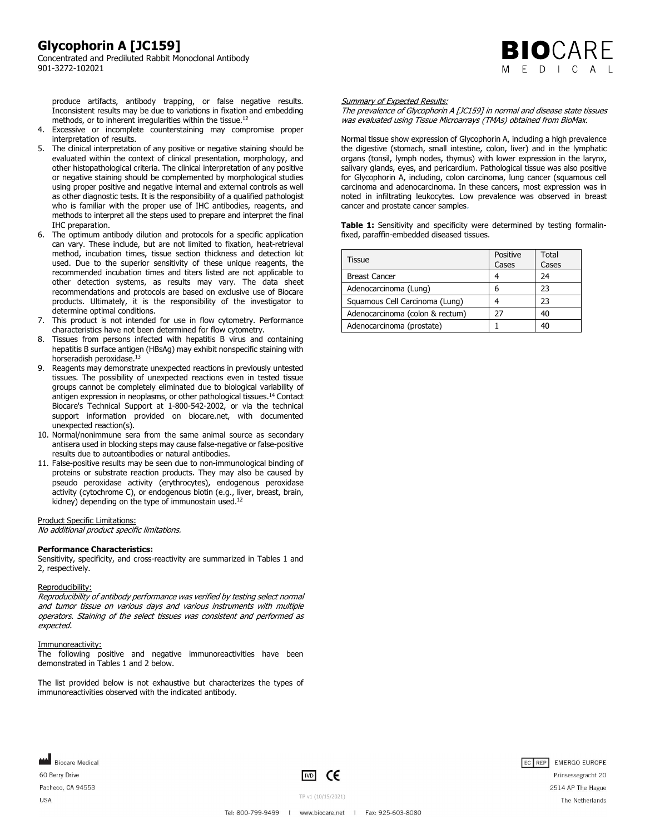Concentrated and Prediluted Rabbit Monoclonal Antibody 901-3272-102021

produce artifacts, antibody trapping, or false negative results. Inconsistent results may be due to variations in fixation and embedding methods, or to inherent irregularities within the tissue.<sup>12</sup>

- 4. Excessive or incomplete counterstaining may compromise proper interpretation of results.
- 5. The clinical interpretation of any positive or negative staining should be evaluated within the context of clinical presentation, morphology, and other histopathological criteria. The clinical interpretation of any positive or negative staining should be complemented by morphological studies using proper positive and negative internal and external controls as well as other diagnostic tests. It is the responsibility of a qualified pathologist who is familiar with the proper use of IHC antibodies, reagents, and methods to interpret all the steps used to prepare and interpret the final IHC preparation.
- 6. The optimum antibody dilution and protocols for a specific application can vary. These include, but are not limited to fixation, heat-retrieval method, incubation times, tissue section thickness and detection kit used. Due to the superior sensitivity of these unique reagents, the recommended incubation times and titers listed are not applicable to other detection systems, as results may vary. The data sheet recommendations and protocols are based on exclusive use of Biocare products. Ultimately, it is the responsibility of the investigator to determine optimal conditions.
- 7. This product is not intended for use in flow cytometry. Performance characteristics have not been determined for flow cytometry.
- 8. Tissues from persons infected with hepatitis B virus and containing hepatitis B surface antigen (HBsAg) may exhibit nonspecific staining with horseradish peroxidase.<sup>13</sup>
- 9. Reagents may demonstrate unexpected reactions in previously untested tissues. The possibility of unexpected reactions even in tested tissue groups cannot be completely eliminated due to biological variability of antigen expression in neoplasms, or other pathological tissues.<sup>14</sup> Contact Biocare's Technical Support at 1-800-542-2002, or via the technical support information provided on biocare.net, with documented unexpected reaction(s).
- 10. Normal/nonimmune sera from the same animal source as secondary antisera used in blocking steps may cause false-negative or false-positive results due to autoantibodies or natural antibodies.
- 11. False-positive results may be seen due to non-immunological binding of proteins or substrate reaction products. They may also be caused by pseudo peroxidase activity (erythrocytes), endogenous peroxidase activity (cytochrome C), or endogenous biotin (e.g., liver, breast, brain, kidney) depending on the type of immunostain used.<sup>12</sup>

# Product Specific Limitations:

No additional product specific limitations.

### **Performance Characteristics:**

Sensitivity, specificity, and cross-reactivity are summarized in Tables 1 and 2, respectively.

#### Reproducibility:

Reproducibility of antibody performance was verified by testing select normal and tumor tissue on various days and various instruments with multiple operators. Staining of the select tissues was consistent and performed as expected.

#### Immunoreactivity:

Biocare Medical

Pacheco, CA 94553

60 Berry Drive

**USA** 

The following positive and negative immunoreactivities have been demonstrated in Tables 1 and 2 below.

The list provided below is not exhaustive but characterizes the types of immunoreactivities observed with the indicated antibody.

#### Summary of Expected Results:

The prevalence of Glycophorin A [JC159] in normal and disease state tissues was evaluated using Tissue Microarrays (TMAs) obtained from BioMax.

**BIO**CARE  $D \cup C$  A

Normal tissue show expression of Glycophorin A, including a high prevalence the digestive (stomach, small intestine, colon, liver) and in the lymphatic organs (tonsil, lymph nodes, thymus) with lower expression in the larynx, salivary glands, eyes, and pericardium. Pathological tissue was also positive for Glycophorin A, including, colon carcinoma, lung cancer (squamous cell carcinoma and adenocarcinoma. In these cancers, most expression was in noted in infiltrating leukocytes. Low prevalence was observed in breast cancer and prostate cancer samples.

Table 1: Sensitivity and specificity were determined by testing formalinfixed, paraffin-embedded diseased tissues.

| Tissue                          | Positive<br>Cases | Total<br>Cases |
|---------------------------------|-------------------|----------------|
| <b>Breast Cancer</b>            |                   | 24             |
| Adenocarcinoma (Lung)           | 6                 | 23             |
| Squamous Cell Carcinoma (Lung)  |                   | 23             |
| Adenocarcinoma (colon & rectum) | 77                | 40             |
| Adenocarcinoma (prostate)       |                   | 40             |





Prinsessegracht 20 2514 AP The Hague The Netherlands

TP v1 (10/15/2021)